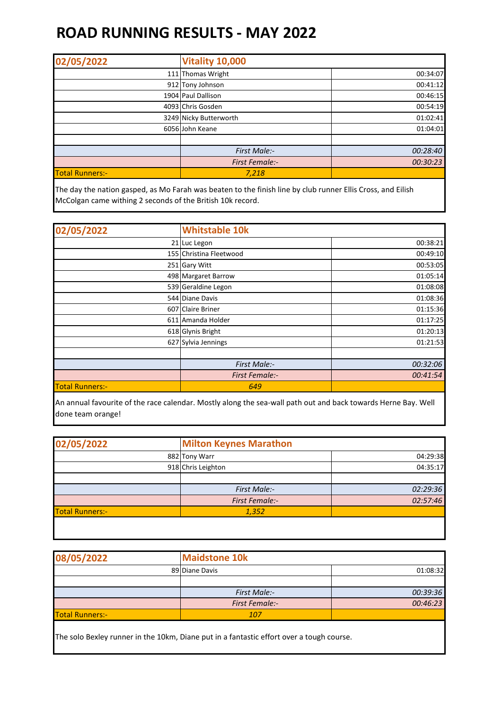## **ROAD RUNNING RESULTS - MAY 2022**

| 02/05/2022             | <b>Vitality 10,000</b> |          |
|------------------------|------------------------|----------|
|                        | 111 Thomas Wright      | 00:34:07 |
|                        | 912 Tony Johnson       | 00:41:12 |
|                        | 1904 Paul Dallison     | 00:46:15 |
|                        | 4093 Chris Gosden      | 00:54:19 |
|                        | 3249 Nicky Butterworth | 01:02:41 |
|                        | 6056 John Keane        | 01:04:01 |
|                        |                        |          |
|                        | First Male:-           | 00:28:40 |
|                        | <b>First Female:-</b>  | 00:30:23 |
| <b>Total Runners:-</b> | 7,218                  |          |

The day the nation gasped, as Mo Farah was beaten to the finish line by club runner Ellis Cross, and Eilish McColgan came withing 2 seconds of the British 10k record.

| 02/05/2022             | <b>Whitstable 10k</b>   |          |
|------------------------|-------------------------|----------|
|                        | 21 Luc Legon            | 00:38:21 |
|                        | 155 Christina Fleetwood | 00:49:10 |
|                        | 251 Gary Witt           | 00:53:05 |
|                        | 498 Margaret Barrow     | 01:05:14 |
|                        | 539 Geraldine Legon     | 01:08:08 |
|                        | 544 Diane Davis         | 01:08:36 |
|                        | 607 Claire Briner       | 01:15:36 |
|                        | 611 Amanda Holder       | 01:17:25 |
|                        | 618 Glynis Bright       | 01:20:13 |
|                        | 627 Sylvia Jennings     | 01:21:53 |
|                        |                         |          |
|                        | <b>First Male:-</b>     | 00:32:06 |
|                        | <b>First Female:-</b>   | 00:41:54 |
| <b>Total Runners:-</b> | 649                     |          |

An annual favourite of the race calendar. Mostly along the sea-wall path out and back towards Herne Bay. Well done team orange!

| 02/05/2022             | <b>Milton Keynes Marathon</b> |          |
|------------------------|-------------------------------|----------|
|                        | 882 Tony Warr                 | 04:29:38 |
|                        | 918 Chris Leighton            | 04:35:17 |
|                        |                               |          |
|                        | First Male:-                  | 02:29:36 |
|                        | <b>First Female:-</b>         | 02:57:46 |
| <b>Total Runners:-</b> | 1.352                         |          |
|                        |                               |          |

| 08/05/2022             | <b>Maidstone 10k</b>  |          |
|------------------------|-----------------------|----------|
|                        | 89 Diane Davis        | 01:08:32 |
|                        |                       |          |
|                        | First Male:-          | 00:39:36 |
|                        | <b>First Female:-</b> | 00:46:23 |
| <b>Total Runners:-</b> | 107                   |          |
|                        |                       |          |

The solo Bexley runner in the 10km, Diane put in a fantastic effort over a tough course.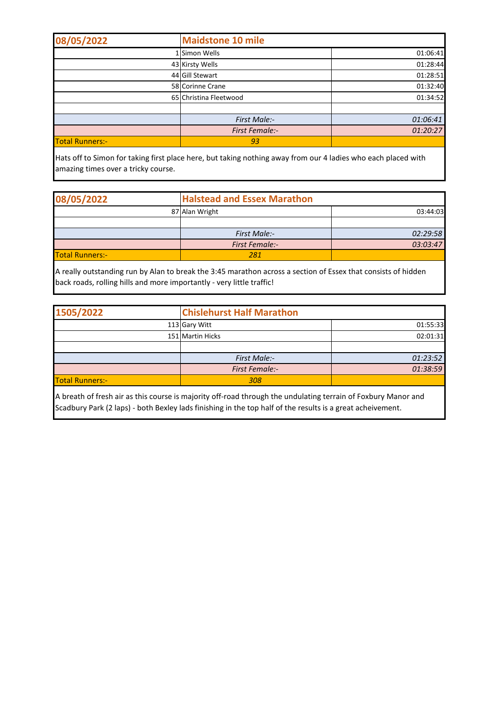| 08/05/2022             | <b>Maidstone 10 mile</b> |          |
|------------------------|--------------------------|----------|
|                        | 1 Simon Wells            | 01:06:41 |
|                        | 43 Kirsty Wells          | 01:28:44 |
|                        | 44 Gill Stewart          | 01:28:51 |
|                        | 58 Corinne Crane         | 01:32:40 |
|                        | 65 Christina Fleetwood   | 01:34:52 |
|                        |                          |          |
|                        | First Male:-             | 01:06:41 |
|                        | <b>First Female:-</b>    | 01:20:27 |
| <b>Total Runners:-</b> | 93                       |          |

Hats off to Simon for taking first place here, but taking nothing away from our 4 ladies who each placed with amazing times over a tricky course.

| 08/05/2022             | <b>Halstead and Essex Marathon</b> |          |
|------------------------|------------------------------------|----------|
|                        | 87 Alan Wright                     | 03:44:03 |
|                        |                                    |          |
|                        | First Male:-                       | 02:29:58 |
|                        | <b>First Female:-</b>              | 03:03:47 |
| <b>Total Runners:-</b> | 281                                |          |

A really outstanding run by Alan to break the 3:45 marathon across a section of Essex that consists of hidden back roads, rolling hills and more importantly - very little traffic!

| 1505/2022              | <b>Chislehurst Half Marathon</b> |          |
|------------------------|----------------------------------|----------|
|                        | 113 Gary Witt                    | 01:55:33 |
|                        | 151 Martin Hicks                 | 02:01:31 |
|                        |                                  |          |
|                        | First Male:-                     | 01:23:52 |
|                        | <b>First Female:-</b>            | 01:38:59 |
| <b>Total Runners:-</b> | 308                              |          |

A breath of fresh air as this course is majority off-road through the undulating terrain of Foxbury Manor and Scadbury Park (2 laps) - both Bexley lads finishing in the top half of the results is a great acheivement.